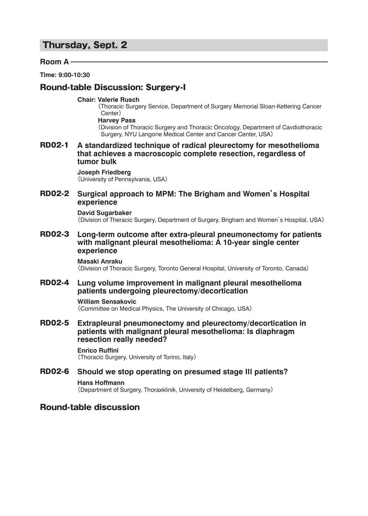# Thursday, Sept. 2

### **Room A**

**Time: 9:00-10:30**

# Round-table Discussion: Surgery-I

#### **Chair: Valerie Rusch**

( Thoracic Surgery Service, Department of Surgery Memorial Sloan-Kettering Cancer Center)

### **Harvey Pass**

( Division of Thoracic Surgery and Thoracic Oncology, Department of Cavdiothoracic Surgery, NYU Langone Medical Center and Cancer Center, USA)

RD02-1 **A standardized technique of radical pleurectomy for mesothelioma that achieves a macroscopic complete resection, regardless of tumor bulk**

#### **Joseph Friedberg**

( University of Pennsylvania, USA)

### RD02-2 **Surgical approach to MPM: The Brigham and Women's Hospital experience**

#### **David Sugarbaker**

( Division of Theracic Surgery, Department of Surgery, Brigham and Women's Hospital, USA)

RD02-3 **Long-term outcome after extra-pleural pneumonectomy for patients with malignant pleural mesothelioma: A 10-year single center experience**

#### **Masaki Anraku** ( Division of Thoracic Surgery, Toronto General Hospital, University of Toronto, Canada)

RD02-4 **Lung volume improvement in malignant pleural mesothelioma patients undergoing pleurectomy/decortication**

### **William Sensakovic**

( Committee on Medical Physics, The University of Chicago, USA)

RD02-5 **Extrapleural pneumonectomy and pleurectomy/decortication in patients with malignant pleural mesothelioma: Is diaphragm resection really needed?**

# **Enrico Ruffini**

( Thoracic Surgery, University of Torino, Italy)

# RD02-6 **Should we stop operating on presumed stage III patients?**

#### **Hans Hoffmann**

( Department of Surgery, Thoraxklinik, University of Heidelberg, Germany)

# Round-table discussion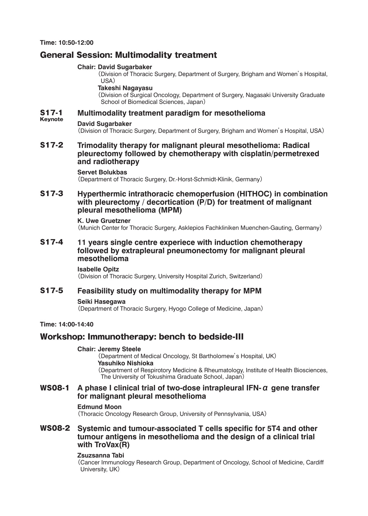# General Session: Multimodality treatment

### **Chair: David Sugarbaker**

( Division of Thoracic Surgery, Department of Surgery, Brigham and Women's Hospital, USA)

#### **Takeshi Nagayasu**

( Division of Surgical Oncology, Department of Surgery, Nagasaki University Graduate School of Biomedical Sciences, Japan)

#### Keynote S17-1 **Multimodality treatment paradigm for mesothelioma**

### **David Sugarbaker**

( Division of Thoracic Surgery, Department of Surgery, Brigham and Women's Hospital, USA)

### S17-2 **Trimodality therapy for malignant pleural mesothelioma: Radical pleurectomy followed by chemotherapy with cisplatin/permetrexed and radiotherapy**

#### **Servet Bolukbas**

( Department of Thoracic Surgery, Dr.-Horst-Schmidt-Klinik, Germany)

### S17-3 **Hyperthermic intrathoracic chemoperfusion (HITHOC) in combination with pleurectomy / decortication (P/D) for treatment of malignant pleural mesothelioma (MPM)**

#### **K. Uwe Gruetzner**

( Munich Center for Thoracic Surgery, Asklepios Fachkliniken Muenchen-Gauting, Germany)

### S17-4 **11 years single centre experiece with induction chemotherapy followed by extrapleural pneumonectomy for malignant pleural mesothelioma**

**Isabelle Opitz** ( Division of Thoracic Surgery, University Hospital Zurich, Switzerland)

### S17-5 **Feasibility study on multimodality therapy for MPM**

#### **Seiki Hasegawa**

( Department of Thoracic Surgery, Hyogo College of Medicine, Japan)

#### **Time: 14:00-14:40**

# Workshop: Immunotherapy: bench to bedside-III

#### **Chair: Jeremy Steele**

( Department of Medical Oncology, St Bartholomew's Hospital, UK)  **Yasuhiko Nishioka** ( Department of Respirotory Medicine & Rheumatology, Institute of Health Biosciences, The University of Tokushima Graduate School, Japan)

# WS08-1 **A phase I clinical trial of two-dose intrapleural IFN-α gene transfer for malignant pleural mesothelioma**

### **Edmund Moon**

( Thoracic Oncology Research Group, University of Pennsylvania, USA)

### WS08-2 **Systemic and tumour-associated T cells specific for 5T4 and other tumour antigens in mesothelioma and the design of a clinical trial with TroVax(R)**

#### **Zsuzsanna Tabi**

( Cancer Immunology Research Group, Department of Oncology, School of Medicine, Cardiff University, UK)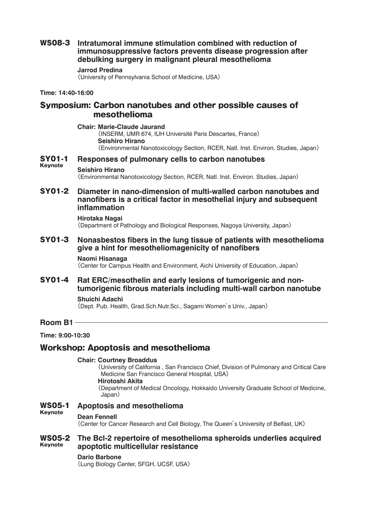# WS08-3 **Intratumoral immune stimulation combined with reduction of immunosuppressive factors prevents disease progression after debulking surgery in malignant pleural mesothelioma**

#### **Jarrod Predina**

( University of Pennsylvania School of Medicine, USA)

#### **Time: 14:40-16:00**

# Symposium: Carbon nanotubes and other possible causes of mesothelioma

**Chair: Marie-Claude Jaurand** ( INSERM, UMR 674, IUH Université Paris Descartes, France)  **Seishiro Hirano** ( Environmental Nanotoxicology Section, RCER, Natl. Inst. Environ. Studies, Japan)

### SY01-1 **Responses of pulmonary cells to carbon nanotubes**

#### Keynote **Seishiro Hirano** ( Environmental Nanotoxicology Section, RCER, Natl. Inst. Environ. Studies, Japan)

# SY01-2 **Diameter in nano-dimension of multi-walled carbon nanotubes and nanofibers is a critical factor in mesothelial injury and subsequent inflammation**

#### **Hirotaka Nagai**

( Department of Pathology and Biological Responses, Nagoya University, Japan)

### SY01-3 **Nonasbestos fibers in the lung tissue of patients with mesothelioma give a hint for mesotheliomagenicity of nanofibers**

#### **Naomi Hisanaga**

( Center for Campus Health and Environment, Aichi University of Education, Japan)

# SY01-4 **Rat ERC/mesothelin and early lesions of tumorigenic and nontumorigenic fibrous materials including multi-wall carbon nanotube**

### **Shuichi Adachi**

( Dept. Pub. Health, Grad.Sch.Nutr.Sci., Sagami Women's Univ., Japan)

**Time: 9:00-10:30**

**Room B1**

# Workshop: Apoptosis and mesothelioma

# **Chair: Courtney Broaddus**

( University of California , San Francisco Chief, Division of Pulmonary and Critical Care Medicine San Francisco General Hospital, USA)  **Hirotoshi Akita** ( Department of Medical Oncology, Hokkaido University Graduate School of Medicine,

Japan)

#### Keynote WS05-1 **Apoptosis and mesothelioma**

#### **Dean Fennell**

( Center for Cancer Research and Cell Biology, The Queen's University of Belfast, UK)

#### Keynote WS05-2 **The Bcl-2 repertoire of mesothelioma spheroids underlies acquired apoptotic multicellular resistance**

#### **Dario Barbone**

( Lung Biology Center, SFGH, UCSF, USA)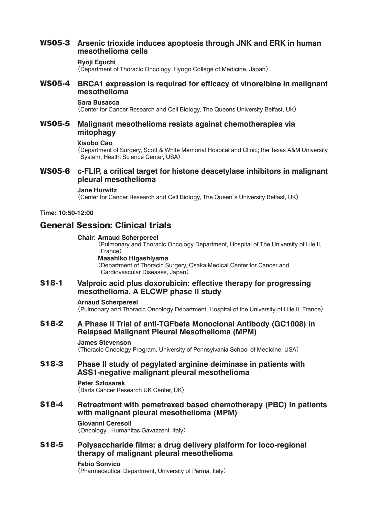# WS05-3 **Arsenic trioxide induces apoptosis through JNK and ERK in human mesothelioma cells**

#### **Ryoji Eguchi**

( Department of Thoracic Oncology, Hyogo College of Medicine, Japan)

### WS05-4 **BRCA1 expression is required for efficacy of vinorelbine in malignant mesothelioma**

#### **Sara Busacca**

( Center for Cancer Research and Cell Biology, The Queens University Belfast, UK)

### WS05-5 **Malignant mesothelioma resists against chemotherapies via mitophagy**

#### **Xiaobo Cao**

( Department of Surgery, Scott & White Memorial Hospital and Clinic; the Texas A&M University System, Health Science Center, USA)

### WS05-6 **c-FLIP, a critical target for histone deacetylase inhibitors in malignant pleural mesothelioma**

#### **Jane Hurwitz**

( Center for Cancer Research and Cell Biology, The Queen's University Belfast, UK)

**Time: 10:50-12:00**

# General Session: Clinical trials

#### **Chair: Arnaud Scherpereel**

( Pulmonary and Thoracic Oncology Department, Hospital of The University of Lile II, France)

#### **Masahiko Higashiyama**

( Department of Thoracic Surgery, Osaka Medical Center for Cancer and Cardiovascular Diseases, Japan)

### S18-1 **Valproic acid plus doxorubicin: effective therapy for progressing mesothelioma. A ELCWP phase II study**

#### **Arnaud Scherpereel**

( Pulmonary and Thoracic Oncology Department, Hospital of the University of Lille II, France)

# S18-2 **A Phase II Trial of anti-TGFbeta Monoclonal Antibody (GC1008) in Relapsed Malignant Pleural Mesothelioma (MPM)**

#### **James Stevenson**

( Thoracic Oncology Program, University of Pennsylvania School of Medicine, USA)

### S18-3 **Phase II study of pegylated arginine deiminase in patients with ASS1-negative malignant pleural mesothelioma**

#### **Peter Szlosarek**

( Barts Cancer Research UK Center, UK)

### S18-4 **Retreatment with pemetrexed based chemotherapy (PBC) in patients with malignant pleural mesothelioma (MPM)**

#### **Giovanni Ceresoli** ( Oncology , Humanitas Gavazzeni, Italy)

# S18-5 **Polysaccharide films: a drug delivery platform for loco-regional therapy of malignant pleural mesothelioma**

#### **Fabio Sonvico**

( Pharmaceutical Department, University of Parma, Italy)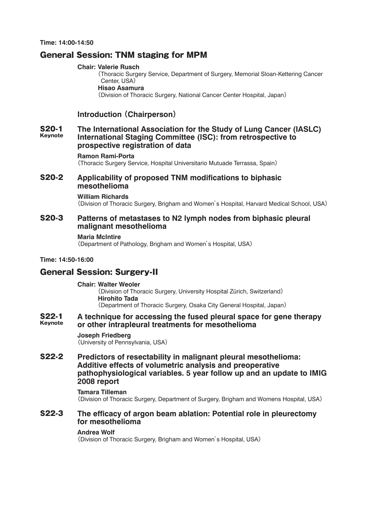# General Session: TNM staging for MPM

#### **Chair: Valerie Rusch**

( Thoracic Surgery Service, Department of Surgery, Memorial Sloan-Kettering Cancer Center, USA)

### **Hisao Asamura**

( Division of Thoracic Surgery, National Cancer Center Hospital, Japan)

# **Introduction (Chairperson)**

#### Keynote S20-1 **The International Association for the Study of Lung Cancer (IASLC) International Staging Committee (ISC): from retrospective to prospective registration of data**

#### **Ramon Rami-Porta**

( Thoracic Surgery Service, Hospital Universitario Mutuade Terrassa, Spain)

### S20-2 **Applicability of proposed TNM modifications to biphasic mesothelioma**

#### **William Richards**

( Division of Thoracic Surgery, Brigham and Women's Hospital, Harvard Medical School, USA)

### S20-3 **Patterns of metastases to N2 lymph nodes from biphasic pleural malignant mesothelioma**

#### **Maria McIntire**

( Department of Pathology, Brigham and Women's Hospital, USA)

#### **Time: 14:50-16:00**

# General Session: Surgery-II

#### **Chair: Walter Weoler**

( Division of Thoracic Surgery, University Hospital Zürich, Switzerland)  **Hirohito Tada** ( Department of Thoracic Surgery, Osaka City General Hospital, Japan)

#### Keynote S22-1 **A technique for accessing the fused pleural space for gene therapy or other intrapleural treatments for mesothelioma**

#### **Joseph Friedberg**

( University of Pennsylvania, USA)

### S22-2 **Predictors of resectability in malignant pleural mesothelioma: Additive effects of volumetric analysis and preoperative pathophysiological variables. 5 year follow up and an update to IMIG 2008 report**

#### **Tamara Tilleman**

( Division of Thoracic Surgery, Department of Surgery, Brigham and Womens Hospital, USA)

### S22-3 **The efficacy of argon beam ablation: Potential role in pleurectomy for mesothelioma**

#### **Andrea Wolf**

( Division of Thoracic Surgery, Brigham and Women's Hospital, USA)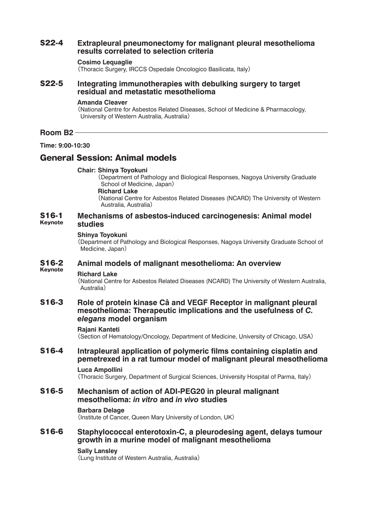# S22-4 **Extrapleural pneumonectomy for malignant pleural mesothelioma results correlated to selection criteria**

#### **Cosimo Lequaglie**

( Thoracic Surgery, IRCCS Ospedale Oncologico Basilicata, Italy)

### S22-5 **Integrating immunotherapies with debulking surgery to target residual and metastatic mesothelioma**

#### **Amanda Cleaver**

( National Centre for Asbestos Related Diseases, School of Medicine & Pharmacology, University of Western Australia, Australia)

#### **Room B2**

**Time: 9:00-10:30**

# General Session: Animal models

#### **Chair: Shinya Toyokuni**

( Department of Pathology and Biological Responses, Nagoya University Graduate School of Medicine, Japan)

 **Richard Lake**

( National Centre for Asbestos Related Diseases (NCARD) The University of Western Australia, Australia)

#### Keynote S16-1 **Mechanisms of asbestos-induced carcinogenesis: Animal model studies**

#### **Shinya Toyokuni**

( Department of Pathology and Biological Responses, Nagoya University Graduate School of Medicine, Japan)

#### Keynote S16-2 **Animal models of malignant mesothelioma: An overview**

#### **Richard Lake**

( National Centre for Asbestos Related Diseases (NCARD) The University of Western Australia, Australia)

### S16-3 **Role of protein kinase Câ and VEGF Receptor in malignant pleural mesothelioma: Therapeutic implications and the usefulness of** *C. elegans* **model organism**

#### **Rajani Kanteti**

( Section of Hematology/Oncology, Department of Medicine, University of Chicago, USA)

# S16-4 **Intrapleural application of polymeric films containing cisplatin and pemetrexed in a rat tumour model of malignant pleural mesothelioma**

#### **Luca Ampollini**

( Thoracic Surgery, Department of Surgical Sciences, University Hospital of Parma, Italy)

### S16-5 **Mechanism of action of ADI-PEG20 in pleural malignant mesothelioma:** *in vitro* **and** *in vivo* **studies**

#### **Barbara Delage**

( Institute of Cancer, Queen Mary University of London, UK)

# S16-6 **Staphylococcal enterotoxin-C, a pleurodesing agent, delays tumour growth in a murine model of malignant mesothelioma**

#### **Sally Lansley**

( Lung Institute of Western Australia, Australia)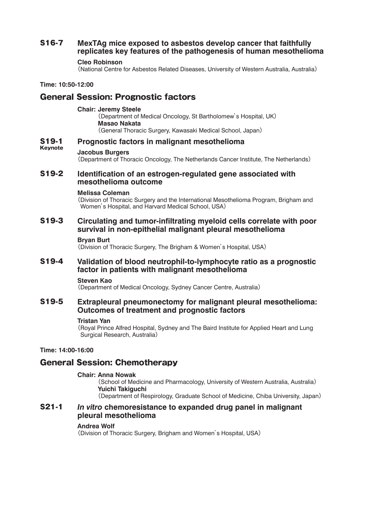# S16-7 **MexTAg mice exposed to asbestos develop cancer that faithfully replicates key features of the pathogenesis of human mesothelioma**

#### **Cleo Robinson**

( National Centre for Asbestos Related Diseases, University of Western Australia, Australia)

**Time: 10:50-12:00**

# General Session: Prognostic factors

#### **Chair: Jeremy Steele**

( Department of Medical Oncology, St Bartholomew's Hospital, UK)  **Masao Nakata** ( General Thoracic Surgery, Kawasaki Medical School, Japan)

### S19-1 **Prognostic factors in malignant mesothelioma**

#### Keynote **Jacobus Burgers**

( Department of Thoracic Oncology, The Netherlands Cancer Institute, The Netherlands)

### S19-2 **Identification of an estrogen-regulated gene associated with mesothelioma outcome**

#### **Melissa Coleman**

( Division of Thoracic Surgery and the International Mesothelioma Program, Brigham and Women's Hospital, and Harvard Medical School, USA)

### S19-3 **Circulating and tumor-infiltrating myeloid cells correlate with poor survival in non-epithelial malignant pleural mesothelioma**

#### **Bryan Burt**

( Division of Thoracic Surgery, The Brigham & Women's Hospital, USA)

### S19-4 **Validation of blood neutrophil-to-lymphocyte ratio as a prognostic factor in patients with malignant mesothelioma**

#### **Steven Kao**

( Department of Medical Oncology, Sydney Cancer Centre, Australia)

### S19-5 **Extrapleural pneumonectomy for malignant pleural mesothelioma: Outcomes of treatment and prognostic factors**

#### **Tristan Yan**

( Royal Prince Alfred Hospital, Sydney and The Baird Institute for Applied Heart and Lung Surgical Research, Australia)

### **Time: 14:00-16:00**

# General Session: Chemotherapy

#### **Chair: Anna Nowak**

( School of Medicine and Pharmacology, University of Western Australia, Australia)  **Yuichi Takiguchi** ( Department of Respirology, Graduate School of Medicine, Chiba University, Japan)

### S21-1*In vitro* **chemoresistance to expanded drug panel in malignant pleural mesothelioma**

#### **Andrea Wolf**

( Division of Thoracic Surgery, Brigham and Women's Hospital, USA)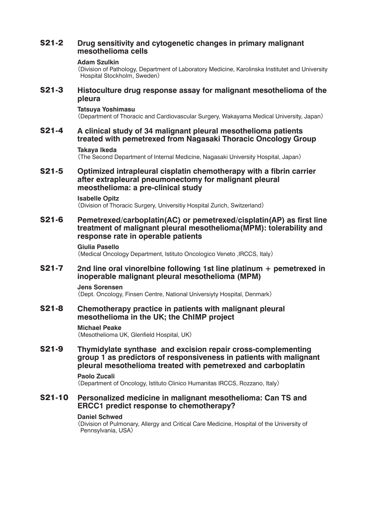# S21-2 **Drug sensitivity and cytogenetic changes in primary malignant mesothelioma cells**

#### **Adam Szulkin**

( Division of Pathology, Department of Laboratory Medicine, Karolinska Institutet and University Hospital Stockholm, Sweden)

## S21-3 **Histoculture drug response assay for malignant mesothelioma of the pleura**

#### **Tatsuya Yoshimasu**

( Department of Thoracic and Cardiovascular Surgery, Wakayama Medical University, Japan)

# S21-4 **A clinical study of 34 malignant pleural mesothelioma patients treated with pemetrexed from Nagasaki Thoracic Oncology Group**

#### **Takaya Ikeda**

( The Second Department of Internal Medicine, Nagasaki University Hospital, Japan)

### S21-5 **Optimized intrapleural cisplatin chemotherapy with a fibrin carrier after extrapleural pneumonectomy for malignant pleural meosthelioma: a pre-clinical study**

#### **Isabelle Opitz**

( Division of Thoracic Surgery, Universitiy Hospital Zurich, Switzerland)

### S21-6 **Pemetrexed/carboplatin(AC) or pemetrexed/cisplatin(AP) as first line treatment of malignant pleural mesothelioma(MPM): tolerability and response rate in operable patients**

#### **Giulia Pasello**

( Medical Oncology Department, Istituto Oncologico Veneto ,IRCCS, Italy)

### S21-7 **2nd line oral vinorelbine following 1st line platinum + pemetrexed in inoperable malignant pleural mesothelioma (MPM)**

#### **Jens Sorensen**

( Dept. Oncology, Finsen Centre, National Universiyty Hospital, Denmark)

### S21-8 **Chemotherapy practice in patients with malignant pleural mesothelioma in the UK; the ChIMP project**

#### **Michael Peake**

( Mesothelioma UK, Glenfield Hospital, UK)

# S21-9 **Thymidylate synthase and excision repair cross-complementing group 1 as predictors of responsiveness in patients with malignant pleural mesothelioma treated with pemetrexed and carboplatin**

#### **Paolo Zucali**

( Department of Oncology, Istituto Clinico Humanitas IRCCS, Rozzano, Italy)

### S21-10 **Personalized medicine in malignant mesothelioma: Can TS and ERCC1 predict response to chemotherapy?**

#### **Daniel Schwed**

( Division of Pulmonary, Allergy and Critical Care Medicine, Hospital of the University of Pennsylvania, USA)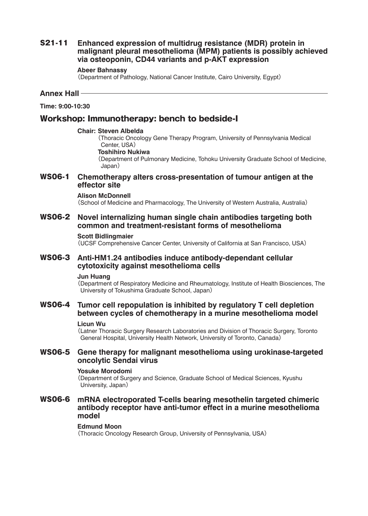# S21-11 **Enhanced expression of multidrug resistance (MDR) protein in malignant pleural mesothelioma (MPM) patients is possibly achieved via osteoponin, CD44 variants and p-AKT expression**

#### **Abeer Bahnassy**

( Department of Pathology, National Cancer Institute, Cairo University, Egypt)

#### **Annex Hall**

**Time: 9:00-10:30**

## Workshop: Immunotherapy: bench to bedside-I

#### **Chair: Steven Albelda**

( Thoracic Oncology Gene Therapy Program, University of Pennsylvania Medical Center, USA)

### **Toshihiro Nukiwa**

( Department of Pulmonary Medicine, Tohoku University Graduate School of Medicine, Japan)

### WS06-1 **Chemotherapy alters cross-presentation of tumour antigen at the effector site**

#### **Alison McDonnell**

( School of Medicine and Pharmacology, The University of Western Australia, Australia)

### WS06-2 **Novel internalizing human single chain antibodies targeting both common and treatment-resistant forms of mesothelioma**

#### **Scott Bidlingmaier**

( UCSF Comprehensive Cancer Center, University of California at San Francisco, USA)

### WS06-3 **Anti-HM1.24 antibodies induce antibody-dependant cellular cytotoxicity against mesothelioma cells**

#### **Jun Huang**

( Department of Respiratory Medicine and Rheumatology, Institute of Health Biosciences, The University of Tokushima Graduate School, Japan)

### WS06-4 **Tumor cell repopulation is inhibited by regulatory T cell depletion between cycles of chemotherapy in a murine mesothelioma model**

#### **Licun Wu**

( Latner Thoracic Surgery Research Laboratories and Division of Thoracic Surgery, Toronto General Hospital, University Health Network, University of Toronto, Canada)

### WS06-5 **Gene therapy for malignant mesothelioma using urokinase-targeted oncolytic Sendai virus**

#### **Yosuke Morodomi**

( Department of Surgery and Science, Graduate School of Medical Sciences, Kyushu University, Japan)

### WS06-6 **mRNA electroporated T-cells bearing mesothelin targeted chimeric antibody receptor have anti-tumor effect in a murine mesothelioma model**

#### **Edmund Moon**

( Thoracic Oncology Research Group, University of Pennsylvania, USA)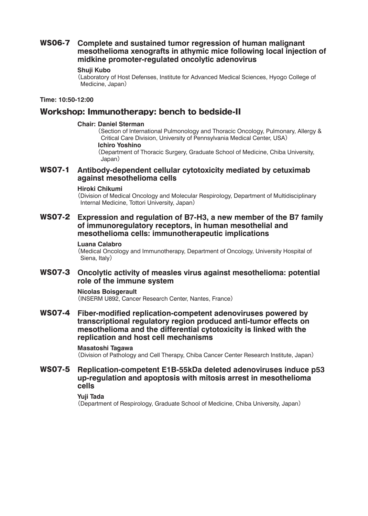# WS06-7 **Complete and sustained tumor regression of human malignant mesothelioma xenografts in athymic mice following local injection of midkine promoter-regulated oncolytic adenovirus**

#### **Shuji Kubo**

( Laboratory of Host Defenses, Institute for Advanced Medical Sciences, Hyogo College of Medicine, Japan)

#### **Time: 10:50-12:00**

# Workshop: Immunotherapy: bench to bedside-II

#### **Chair: Daniel Sterman**

( Section of International Pulmonology and Thoracic Oncology, Pulmonary, Allergy & Critical Care Division, University of Pennsylvania Medical Center, USA)

### **Ichiro Yoshino**

( Department of Thoracic Surgery, Graduate School of Medicine, Chiba University, Japan)

### WS07-1 **Antibody-dependent cellular cytotoxicity mediated by cetuximab against mesothelioma cells**

#### **Hiroki Chikumi**

( Division of Medical Oncology and Molecular Respirology, Department of Multidisciplinary Internal Medicine, Tottori University, Japan)

WS07-2 **Expression and regulation of B7-H3, a new member of the B7 family of immunoregulatory receptors, in human mesothelial and mesothelioma cells: immunotherapeutic implications**

#### **Luana Calabro**

( Medical Oncology and Immunotherapy, Department of Oncology, University Hospital of Siena, Italy)

### WS07-3 **Oncolytic activity of measles virus against mesothelioma: potential role of the immune system**

**Nicolas Boisgerault** ( INSERM U892, Cancer Research Center, Nantes, France)

WS07-4 **Fiber-modified replication-competent adenoviruses powered by transcriptional regulatory region produced anti-tumor effects on mesothelioma and the differential cytotoxicity is linked with the replication and host cell mechanisms**

#### **Masatoshi Tagawa**

( Division of Pathology and Cell Therapy, Chiba Cancer Center Research Institute, Japan)

### WS07-5 **Replication-competent E1B-55kDa deleted adenoviruses induce p53 up-regulation and apoptosis with mitosis arrest in mesothelioma cells**

#### **Yuji Tada**

( Department of Respirology, Graduate School of Medicine, Chiba University, Japan)